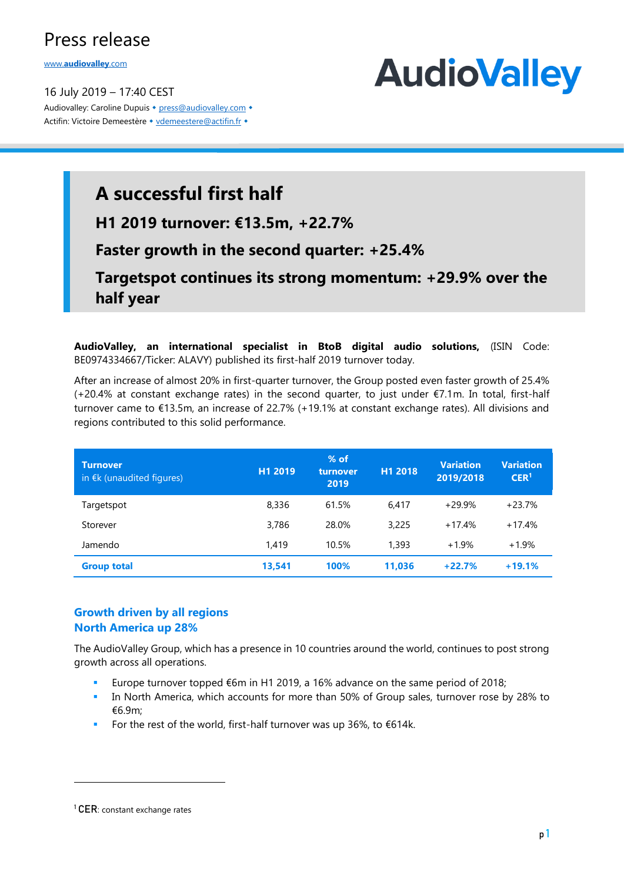## Press release

www.**[audiovalley](http://www.audiovalley.com/)**.com

16 July 2019 – 17:40 CEST Audiovalley: Caroline Dupuis • [press@audiovalley.com](mailto:press@audiovalley.com) • Actifin: Victoire Demeestère • [vdemeestere@actifin.fr](mailto:vdemeestere@actifin.fr?subject=AUDIOVALLEY%20Question) •



# **A successful first half**

**H1 2019 turnover: €13.5m, +22.7%**

## **Faster growth in the second quarter: +25.4%**

**Targetspot continues its strong momentum: +29.9% over the half year**

**AudioValley, an international specialist in BtoB digital audio solutions,** (ISIN Code: BE0974334667/Ticker: ALAVY) published its first-half 2019 turnover today.

After an increase of almost 20% in first-quarter turnover, the Group posted even faster growth of 25.4% (+20.4% at constant exchange rates) in the second quarter, to just under €7.1m. In total, first-half turnover came to €13.5m, an increase of 22.7% (+19.1% at constant exchange rates). All divisions and regions contributed to this solid performance.

| <b>Turnover</b><br>in $E$ k (unaudited figures) | H1 2019 | $%$ of<br>turnover<br>2019 | H1 2018 | <b>Variation</b><br>2019/2018 | <b>Variation</b><br>CER <sup>1</sup> |
|-------------------------------------------------|---------|----------------------------|---------|-------------------------------|--------------------------------------|
| Targetspot                                      | 8,336   | 61.5%                      | 6.417   | $+29.9%$                      | $+23.7%$                             |
| Storever                                        | 3.786   | 28.0%                      | 3,225   | $+17.4%$                      | $+17.4%$                             |
| Jamendo                                         | 1,419   | 10.5%                      | 1,393   | $+1.9%$                       | $+1.9%$                              |
| <b>Group total</b>                              | 13,541  | 100%                       | 11.036  | $+22.7%$                      | $+19.1%$                             |

### **Growth driven by all regions North America up 28%**

The AudioValley Group, which has a presence in 10 countries around the world, continues to post strong growth across all operations.

- Europe turnover topped €6m in H1 2019, a 16% advance on the same period of 2018;
- **•** In North America, which accounts for more than 50% of Group sales, turnover rose by 28% to €6.9m;
- For the rest of the world, first-half turnover was up 36%, to €614k.

-

<sup>&</sup>lt;sup>1</sup> CER: constant exchange rates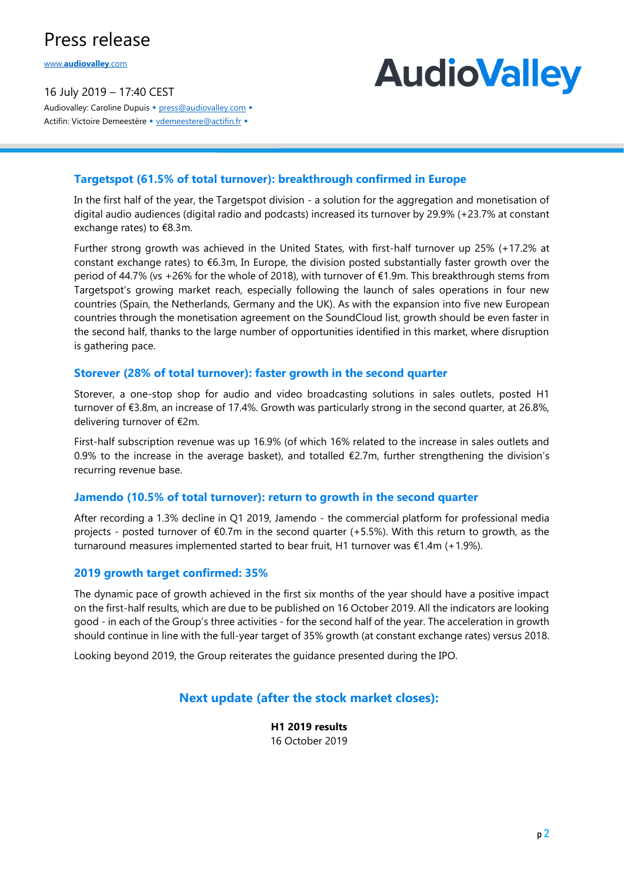## Press release

www.**[audiovalley](http://www.audiovalley.com/)**.com

16 July 2019 – 17:40 CEST Audiovalley: Caroline Dupuis • [press@audiovalley.com](mailto:press@audiovalley.com) • Actifin: Victoire Demeestère • [vdemeestere@actifin.fr](mailto:vdemeestere@actifin.fr?subject=AUDIOVALLEY%20Question) •

# **AudioValley**

#### **Targetspot (61.5% of total turnover): breakthrough confirmed in Europe**

In the first half of the year, the Targetspot division - a solution for the aggregation and monetisation of digital audio audiences (digital radio and podcasts) increased its turnover by 29.9% (+23.7% at constant exchange rates) to €8.3m.

Further strong growth was achieved in the United States, with first-half turnover up 25% (+17.2% at constant exchange rates) to  $6.3$ m, In Europe, the division posted substantially faster growth over the period of 44.7% (vs +26% for the whole of 2018), with turnover of €1.9m. This breakthrough stems from Targetspot's growing market reach, especially following the launch of sales operations in four new countries (Spain, the Netherlands, Germany and the UK). As with the expansion into five new European countries through the monetisation agreement on the SoundCloud list, growth should be even faster in the second half, thanks to the large number of opportunities identified in this market, where disruption is gathering pace.

#### **Storever (28% of total turnover): faster growth in the second quarter**

Storever, a one-stop shop for audio and video broadcasting solutions in sales outlets, posted H1 turnover of €3.8m, an increase of 17.4%. Growth was particularly strong in the second quarter, at 26.8%, delivering turnover of €2m.

First-half subscription revenue was up 16.9% (of which 16% related to the increase in sales outlets and 0.9% to the increase in the average basket), and totalled  $\epsilon$ 2.7m, further strengthening the division's recurring revenue base.

#### **Jamendo (10.5% of total turnover): return to growth in the second quarter**

After recording a 1.3% decline in Q1 2019, Jamendo - the commercial platform for professional media projects - posted turnover of €0.7m in the second quarter (+5.5%). With this return to growth, as the turnaround measures implemented started to bear fruit, H1 turnover was  $£1.4m (+1.9%).$ 

#### **2019 growth target confirmed: 35%**

The dynamic pace of growth achieved in the first six months of the year should have a positive impact on the first-half results, which are due to be published on 16 October 2019. All the indicators are looking good - in each of the Group's three activities - for the second half of the year. The acceleration in growth should continue in line with the full-year target of 35% growth (at constant exchange rates) versus 2018.

Looking beyond 2019, the Group reiterates the guidance presented during the IPO.

### **Next update (after the stock market closes):**

**H1 2019 results** 16 October 2019